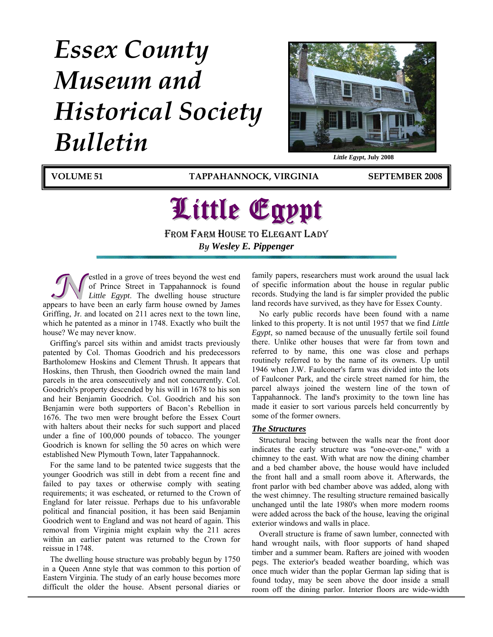# *Essex County Museum and Historical Society Bulletin*



**VOLUME 51 TAPPAHANNOCK, VIRGINIA SEPTEMBER 2008**

## Little Egypt FROM FARM HOUSE TO ELEGANT LADY

*By Wesley E. Pippenger* 

**bested in a grove of trees beyond the west end** of Prince Street in Tappahannock is found *Little Egypt*. The dwelling house structure appears to have been an early farm house owned by James estled in a grove of trees beyond the west end of Prince Street in Tappahannock is found *Little Egypt*. The dwelling house structure Griffing, Jr. and located on 211 acres next to the town line, which he patented as a minor in 1748. Exactly who built the house? We may never know.

Griffing's parcel sits within and amidst tracts previously patented by Col. Thomas Goodrich and his predecessors Bartholomew Hoskins and Clement Thrush. It appears that Hoskins, then Thrush, then Goodrich owned the main land parcels in the area consecutively and not concurrently. Col. Goodrich's property descended by his will in 1678 to his son and heir Benjamin Goodrich. Col. Goodrich and his son Benjamin were both supporters of Bacon's Rebellion in 1676. The two men were brought before the Essex Court with halters about their necks for such support and placed under a fine of 100,000 pounds of tobacco. The younger Goodrich is known for selling the 50 acres on which were established New Plymouth Town, later Tappahannock.

For the same land to be patented twice suggests that the younger Goodrich was still in debt from a recent fine and failed to pay taxes or otherwise comply with seating requirements; it was escheated, or returned to the Crown of England for later reissue. Perhaps due to his unfavorable political and financial position, it has been said Benjamin Goodrich went to England and was not heard of again. This removal from Virginia might explain why the 211 acres within an earlier patent was returned to the Crown for reissue in 1748.

The dwelling house structure was probably begun by 1750 in a Queen Anne style that was common to this portion of Eastern Virginia. The study of an early house becomes more difficult the older the house. Absent personal diaries or

family papers, researchers must work around the usual lack of specific information about the house in regular public records. Studying the land is far simpler provided the public land records have survived, as they have for Essex County.

No early public records have been found with a name linked to this property. It is not until 1957 that we find *Little Egypt*, so named because of the unusually fertile soil found there. Unlike other houses that were far from town and referred to by name, this one was close and perhaps routinely referred to by the name of its owners. Up until 1946 when J.W. Faulconer's farm was divided into the lots of Faulconer Park, and the circle street named for him, the parcel always joined the western line of the town of Tappahannock. The land's proximity to the town line has made it easier to sort various parcels held concurrently by some of the former owners.

#### *The Structures*

Structural bracing between the walls near the front door indicates the early structure was "one-over-one," with a chimney to the east. With what are now the dining chamber and a bed chamber above, the house would have included the front hall and a small room above it. Afterwards, the front parlor with bed chamber above was added, along with the west chimney. The resulting structure remained basically unchanged until the late 1980's when more modern rooms were added across the back of the house, leaving the original exterior windows and walls in place.

Overall structure is frame of sawn lumber, connected with hand wrought nails, with floor supports of hand shaped timber and a summer beam. Rafters are joined with wooden pegs. The exterior's beaded weather boarding, which was once much wider than the poplar German lap siding that is found today, may be seen above the door inside a small room off the dining parlor. Interior floors are wide-width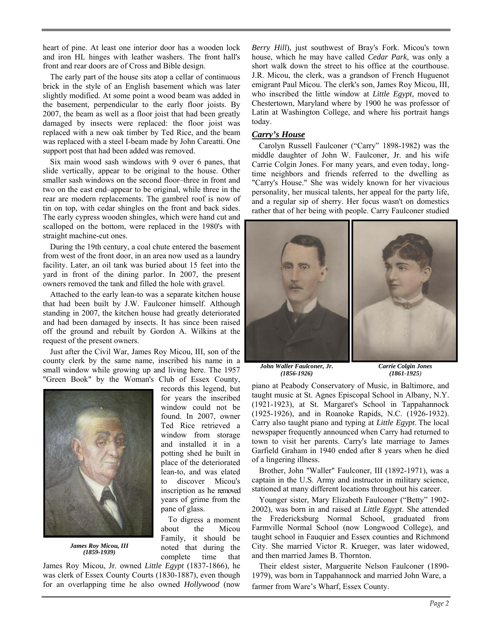heart of pine. At least one interior door has a wooden lock and iron HL hinges with leather washers. The front hall's front and rear doors are of Cross and Bible design.

The early part of the house sits atop a cellar of continuous brick in the style of an English basement which was later slightly modified. At some point a wood beam was added in the basement, perpendicular to the early floor joists. By 2007, the beam as well as a floor joist that had been greatly damaged by insects were replaced: the floor joist was replaced with a new oak timber by Ted Rice, and the beam was replaced with a steel I-beam made by John Careatti. One support post that had been added was removed.

Six main wood sash windows with 9 over 6 panes, that slide vertically, appear to be original to the house. Other smaller sash windows on the second floor–three in front and two on the east end–appear to be original, while three in the rear are modern replacements. The gambrel roof is now of tin on top, with cedar shingles on the front and back sides. The early cypress wooden shingles, which were hand cut and scalloped on the bottom, were replaced in the 1980's with straight machine-cut ones.

During the 19th century, a coal chute entered the basement from west of the front door, in an area now used as a laundry facility. Later, an oil tank was buried about 15 feet into the yard in front of the dining parlor. In 2007, the present owners removed the tank and filled the hole with gravel.

Attached to the early lean-to was a separate kitchen house that had been built by J.W. Faulconer himself. Although standing in 2007, the kitchen house had greatly deteriorated and had been damaged by insects. It has since been raised off the ground and rebuilt by Gordon A. Wilkins at the request of the present owners.

Just after the Civil War, James Roy Micou, III, son of the county clerk by the same name, inscribed his name in a small window while growing up and living here. The 1957 "Green Book" by the Woman's Club of Essex County,



*James Roy Micou, III (1859-1939)* 

records this legend, but for years the inscribed window could not be found. In 2007, owner Ted Rice retrieved a window from storage and installed it in a potting shed he built in place of the deteriorated lean-to, and was elated to discover Micou's inscription as he removed years of grime from the pane of glass.

To digress a moment about the Micou Family, it should be noted that during the complete time that

James Roy Micou, Jr. owned *Little Egypt* (1837-1866), he was clerk of Essex County Courts (1830-1887), even though for an overlapping time he also owned *Hollywood* (now *Berry Hill*), just southwest of Bray's Fork. Micou's town house, which he may have called *Cedar Park*, was only a short walk down the street to his office at the courthouse. J.R. Micou, the clerk, was a grandson of French Huguenot emigrant Paul Micou. The clerk's son, James Roy Micou, III, who inscribed the little window at *Little Egypt*, moved to Chestertown, Maryland where by 1900 he was professor of Latin at Washington College, and where his portrait hangs today.

#### *Carry's House*

Carolyn Russell Faulconer ("Carry" 1898-1982) was the middle daughter of John W. Faulconer, Jr. and his wife Carrie Colgin Jones. For many years, and even today, longtime neighbors and friends referred to the dwelling as "Carry's House." She was widely known for her vivacious personality, her musical talents, her appeal for the party life, and a regular sip of sherry. Her focus wasn't on domestics rather that of her being with people. Carry Faulconer studied



*John Waller Faulconer, Jr. (1856-1926)*

*Carrie Colgin Jones (1861-1925)*

piano at Peabody Conservatory of Music, in Baltimore, and taught music at St. Agnes Episcopal School in Albany, N.Y. (1921-1923), at St. Margaret's School in Tappahannock (1925-1926), and in Roanoke Rapids, N.C. (1926-1932). Carry also taught piano and typing at *Little Egypt*. The local newspaper frequently announced when Carry had returned to town to visit her parents. Carry's late marriage to James Garfield Graham in 1940 ended after 8 years when he died of a lingering illness.

Brother, John "Waller" Faulconer, III (1892-1971), was a captain in the U.S. Army and instructor in military science, stationed at many different locations throughout his career.

Younger sister, Mary Elizabeth Faulconer ("Betty" 1902- 2002), was born in and raised at *Little Egypt*. She attended the Fredericksburg Normal School, graduated from Farmville Normal School (now Longwood College), and taught school in Fauquier and Essex counties and Richmond City. She married Victor R. Krueger, was later widowed, and then married James B. Thornton.

Their eldest sister, Marguerite Nelson Faulconer (1890- 1979), was born in Tappahannock and married John Ware, a farmer from Ware's Wharf, Essex County.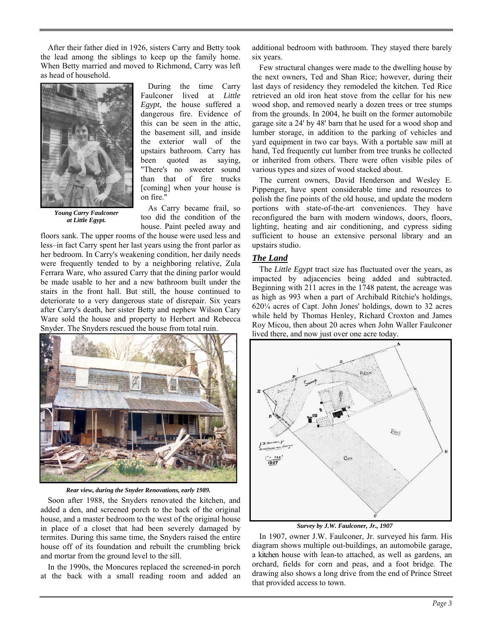After their father died in 1926, sisters Carry and Betty took the lead among the siblings to keep up the family home. When Betty married and moved to Richmond, Carry was left as head of household.



*Young Carry Faulconer at Little Egypt.* 

During the time Carry Faulconer lived at *Little Egypt*, the house suffered a dangerous fire. Evidence of this can be seen in the attic, the basement sill, and inside the exterior wall of the upstairs bathroom. Carry has been quoted as saying, "There's no sweeter sound than that of fire trucks [coming] when your house is on fire."

As Carry became frail, so too did the condition of the house. Paint peeled away and

Snyder. The Snyders rescued the house from total ruin. floors sank. The upper rooms of the house were used less and less–in fact Carry spent her last years using the front parlor as her bedroom. In Carry's weakening condition, her daily needs were frequently tended to by a neighboring relative, Zula Ferrara Ware, who assured Carry that the dining parlor would be made usable to her and a new bathroom built under the stairs in the front hall. But still, the house continued to deteriorate to a very dangerous state of disrepair. Six years after Carry's death, her sister Betty and nephew Wilson Cary Ware sold the house and property to Herbert and Rebecca



*Rear view, during the Snyder Renovations, early 1989.* 

Soon after 1988, the Snyders renovated the kitchen, and added a den, and screened porch to the back of the original house, and a master bedroom to the west of the original house in place of a closet that had been severely damaged by termites. During this same time, the Snyders raised the entire house off of its foundation and rebuilt the crumbling brick and mortar from the ground level to the sill.

In the 1990s, the Moncures replaced the screened-in porch at the back with a small reading room and added an additional bedroom with bathroom. They stayed there barely six years.

Few structural changes were made to the dwelling house by the next owners, Ted and Shan Rice; however, during their last days of residency they remodeled the kitchen. Ted Rice retrieved an old iron heat stove from the cellar for his new wood shop, and removed nearly a dozen trees or tree stumps from the grounds. In 2004, he built on the former automobile garage site a 24' by 48' barn that he used for a wood shop and lumber storage, in addition to the parking of vehicles and yard equipment in two car bays. With a portable saw mill at hand, Ted frequently cut lumber from tree trunks he collected or inherited from others. There were often visible piles of various types and sizes of wood stacked about.

The current owners, David Henderson and Wesley E. Pippenger, have spent considerable time and resources to polish the fine points of the old house, and update the modern portions with state-of-the-art conveniences. They have reconfigured the barn with modern windows, doors, floors, lighting, heating and air conditioning, and cypress siding sufficient to house an extensive personal library and an upstairs studio.

#### *The Land*

The *Little Egypt* tract size has fluctuated over the years, as impacted by adjacencies being added and subtracted. Beginning with 211 acres in the 1748 patent, the acreage was as high as 993 when a part of Archibald Ritchie's holdings, 620¼ acres of Capt. John Jones' holdings, down to 32 acres while held by Thomas Henley, Richard Croxton and James Roy Micou, then about 20 acres when John Waller Faulconer lived there, and now just over one acre today.



*Survey by J.W. Faulconer, Jr., 1907* 

In 1907, owner J.W. Faulconer, Jr. surveyed his farm. His diagram shows multiple out-buildings, an automobile garage, a kitchen house with lean-to attached, as well as gardens, an orchard, fields for corn and peas, and a foot bridge. The drawing also shows a long drive from the end of Prince Street that provided access to town.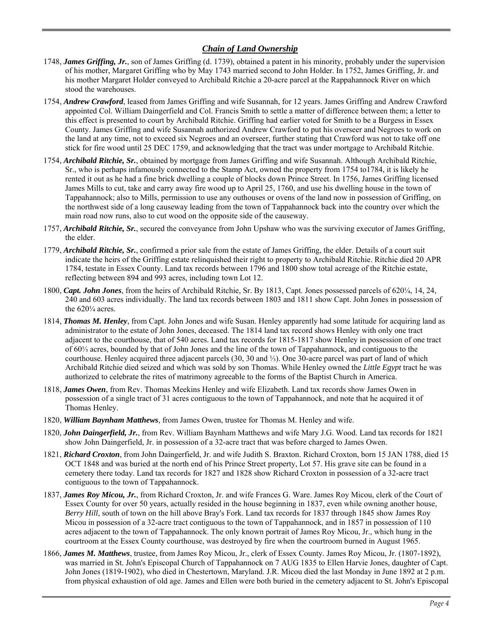#### *Chain of Land Ownership*

- 1748, *James Griffing, Jr.*, son of James Griffing (d. 1739), obtained a patent in his minority, probably under the supervision of his mother, Margaret Griffing who by May 1743 married second to John Holder. In 1752, James Griffing, Jr. and his mother Margaret Holder conveyed to Archibald Ritchie a 20-acre parcel at the Rappahannock River on which stood the warehouses.
- 1754, *Andrew Crawford*, leased from James Griffing and wife Susannah, for 12 years. James Griffing and Andrew Crawford appointed Col. William Daingerfield and Col. Francis Smith to settle a matter of difference between them; a letter to this effect is presented to court by Archibald Ritchie. Griffing had earlier voted for Smith to be a Burgess in Essex County. James Griffing and wife Susannah authorized Andrew Crawford to put his overseer and Negroes to work on the land at any time, not to exceed six Negroes and an overseer, further stating that Crawford was not to take off one stick for fire wood until 25 DEC 1759, and acknowledging that the tract was under mortgage to Archibald Ritchie.
- 1754, *Archibald Ritchie, Sr.*, obtained by mortgage from James Griffing and wife Susannah. Although Archibald Ritchie, Sr., who is perhaps infamously connected to the Stamp Act, owned the property from 1754 to1784, it is likely he rented it out as he had a fine brick dwelling a couple of blocks down Prince Street. In 1756, James Griffing licensed James Mills to cut, take and carry away fire wood up to April 25, 1760, and use his dwelling house in the town of Tappahannock; also to Mills, permission to use any outhouses or ovens of the land now in possession of Griffing, on the northwest side of a long causeway leading from the town of Tappahannock back into the country over which the main road now runs, also to cut wood on the opposite side of the causeway.
- 1757, *Archibald Ritchie, Sr.*, secured the conveyance from John Upshaw who was the surviving executor of James Griffing, the elder.
- 1779, *Archibald Ritchie, Sr.*, confirmed a prior sale from the estate of James Griffing, the elder. Details of a court suit indicate the heirs of the Griffing estate relinquished their right to property to Archibald Ritchie. Ritchie died 20 APR 1784, testate in Essex County. Land tax records between 1796 and 1800 show total acreage of the Ritchie estate, reflecting between 894 and 993 acres, including town Lot 12.
- 1800, *Capt. John Jones*, from the heirs of Archibald Ritchie, Sr. By 1813, Capt. Jones possessed parcels of 620¼, 14, 24, 240 and 603 acres individually. The land tax records between 1803 and 1811 show Capt. John Jones in possession of the  $620\frac{1}{4}$  acres.
- 1814, *Thomas M. Henley*, from Capt. John Jones and wife Susan. Henley apparently had some latitude for acquiring land as administrator to the estate of John Jones, deceased. The 1814 land tax record shows Henley with only one tract adjacent to the courthouse, that of 540 acres. Land tax records for 1815-1817 show Henley in possession of one tract of 60⅓ acres, bounded by that of John Jones and the line of the town of Tappahannock, and contiguous to the courthouse. Henley acquired three adjacent parcels (30, 30 and ⅓). One 30-acre parcel was part of land of which Archibald Ritchie died seized and which was sold by son Thomas. While Henley owned the *Little Egypt* tract he was authorized to celebrate the rites of matrimony agreeable to the forms of the Baptist Church in America.
- 1818, *James Owen*, from Rev. Thomas Meekins Henley and wife Elizabeth. Land tax records show James Owen in possession of a single tract of 31 acres contiguous to the town of Tappahannock, and note that he acquired it of Thomas Henley.
- 1820, *William Baynham Matthews*, from James Owen, trustee for Thomas M. Henley and wife.
- 1820, *John Daingerfield, Jr.*, from Rev. William Baynham Matthews and wife Mary J.G. Wood. Land tax records for 1821 show John Daingerfield, Jr. in possession of a 32-acre tract that was before charged to James Owen.
- 1821, *Richard Croxton*, from John Daingerfield, Jr. and wife Judith S. Braxton. Richard Croxton, born 15 JAN 1788, died 15 OCT 1848 and was buried at the north end of his Prince Street property, Lot 57. His grave site can be found in a cemetery there today. Land tax records for 1827 and 1828 show Richard Croxton in possession of a 32-acre tract contiguous to the town of Tappahannock.
- 1837, *James Roy Micou, Jr.*, from Richard Croxton, Jr. and wife Frances G. Ware. James Roy Micou, clerk of the Court of Essex County for over 50 years, actually resided in the house beginning in 1837, even while owning another house, *Berry Hill*, south of town on the hill above Bray's Fork. Land tax records for 1837 through 1845 show James Roy Micou in possession of a 32-acre tract contiguous to the town of Tappahannock, and in 1857 in possession of 110 acres adjacent to the town of Tappahannock. The only known portrait of James Roy Micou, Jr., which hung in the courtroom at the Essex County courthouse, was destroyed by fire when the courtroom burned in August 1965.
- 1866, *James M. Matthews*, trustee, from James Roy Micou, Jr., clerk of Essex County. James Roy Micou, Jr. (1807-1892), was married in St. John's Episcopal Church of Tappahannock on 7 AUG 1835 to Ellen Harvie Jones, daughter of Capt. John Jones (1819-1902), who died in Chestertown, Maryland. J.R. Micou died the last Monday in June 1892 at 2 p.m. from physical exhaustion of old age. James and Ellen were both buried in the cemetery adjacent to St. John's Episcopal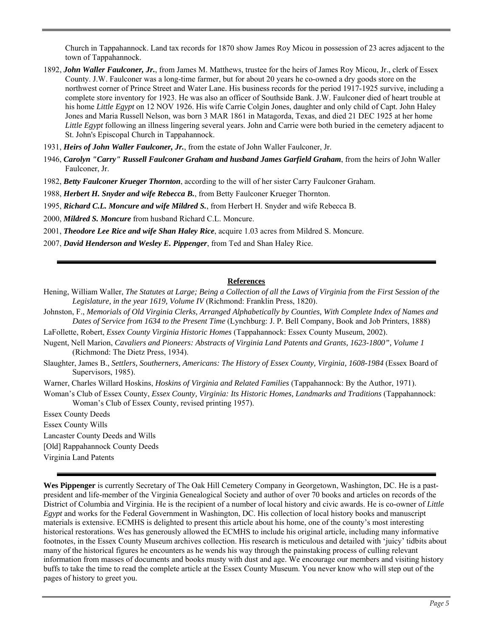Church in Tappahannock. Land tax records for 1870 show James Roy Micou in possession of 23 acres adjacent to the town of Tappahannock.

- 1892, *John Waller Faulconer, Jr.*, from James M. Matthews, trustee for the heirs of James Roy Micou, Jr., clerk of Essex County. J.W. Faulconer was a long-time farmer, but for about 20 years he co-owned a dry goods store on the northwest corner of Prince Street and Water Lane. His business records for the period 1917-1925 survive, including a complete store inventory for 1923. He was also an officer of Southside Bank. J.W. Faulconer died of heart trouble at his home *Little Egypt* on 12 NOV 1926. His wife Carrie Colgin Jones, daughter and only child of Capt. John Haley Jones and Maria Russell Nelson, was born 3 MAR 1861 in Matagorda, Texas, and died 21 DEC 1925 at her home *Little Egypt* following an illness lingering several years. John and Carrie were both buried in the cemetery adjacent to St. John's Episcopal Church in Tappahannock.
- 1931, *Heirs of John Waller Faulconer, Jr.*, from the estate of John Waller Faulconer, Jr.
- 1946, *Carolyn "Carry" Russell Faulconer Graham and husband James Garfield Graham*, from the heirs of John Waller Faulconer, Jr.
- 1982, *Betty Faulconer Krueger Thornton*, according to the will of her sister Carry Faulconer Graham.
- 1988, *Herbert H. Snyder and wife Rebecca B.*, from Betty Faulconer Krueger Thornton.
- 1995, *Richard C.L. Moncure and wife Mildred S.*, from Herbert H. Snyder and wife Rebecca B.
- 2000, *Mildred S. Moncure* from husband Richard C.L. Moncure.
- 2001, *Theodore Lee Rice and wife Shan Haley Rice*, acquire 1.03 acres from Mildred S. Moncure.
- 2007, *David Henderson and Wesley E. Pippenger*, from Ted and Shan Haley Rice.

#### **References**

- Hening, William Waller, *The Statutes at Large; Being a Collection of all the Laws of Virginia from the First Session of the Legislature, in the year 1619, Volume IV* (Richmond: Franklin Press, 1820).
- Johnston, F., *Memorials of Old Virginia Clerks, Arranged Alphabetically by Counties, With Complete Index of Names and Dates of Service from 1634 to the Present Time* (Lynchburg: J. P. Bell Company, Book and Job Printers, 1888)
- LaFollette, Robert, *Essex County Virginia Historic Homes* (Tappahannock: Essex County Museum, 2002).
- Nugent, Nell Marion, *Cavaliers and Pioneers: Abstracts of Virginia Land Patents and Grants, 1623-1800", Volume 1* (Richmond: The Dietz Press, 1934).
- Slaughter, James B., *Settlers, Southerners, Americans: The History of Essex County, Virginia, 1608-1984* (Essex Board of Supervisors, 1985).
- Warner, Charles Willard Hoskins, *Hoskins of Virginia and Related Families* (Tappahannock: By the Author, 1971).
- Woman's Club of Essex County, *Essex County, Virginia: Its Historic Homes, Landmarks and Traditions* (Tappahannock: Woman's Club of Essex County, revised printing 1957).
- Essex County Deeds
- Essex County Wills
- Lancaster County Deeds and Wills
- [Old] Rappahannock County Deeds
- Virginia Land Patents

**Wes Pippenger** is currently Secretary of The Oak Hill Cemetery Company in Georgetown, Washington, DC. He is a pastpresident and life-member of the Virginia Genealogical Society and author of over 70 books and articles on records of the District of Columbia and Virginia. He is the recipient of a number of local history and civic awards. He is co-owner of *Little Egypt* and works for the Federal Government in Washington, DC. His collection of local history books and manuscript materials is extensive. ECMHS is delighted to present this article about his home, one of the county's most interesting historical restorations. Wes has generously allowed the ECMHS to include his original article, including many informative footnotes, in the Essex County Museum archives collection. His research is meticulous and detailed with 'juicy' tidbits about many of the historical figures he encounters as he wends his way through the painstaking process of culling relevant information from masses of documents and books musty with dust and age. We encourage our members and visiting history buffs to take the time to read the complete article at the Essex County Museum. You never know who will step out of the pages of history to greet you.